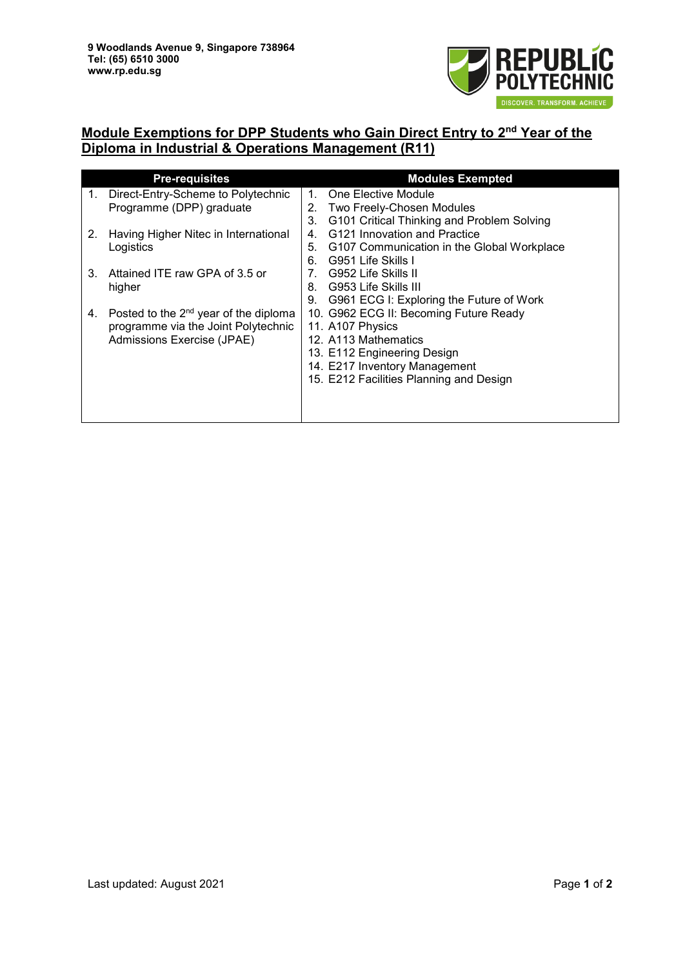

## **Module Exemptions for DPP Students who Gain Direct Entry to 2nd Year of the Diploma in Industrial & Operations Management (R11)**

| <b>Pre-requisites</b> |                                                   | <b>Modules Exempted</b>        |                                            |  |
|-----------------------|---------------------------------------------------|--------------------------------|--------------------------------------------|--|
| $1_{\cdot}$           | Direct-Entry-Scheme to Polytechnic                | $1_{-}$                        | One Elective Module                        |  |
|                       | Programme (DPP) graduate                          | 2.                             | Two Freely-Chosen Modules                  |  |
|                       |                                                   | 3.                             | G101 Critical Thinking and Problem Solving |  |
| 2.                    | Having Higher Nitec in International              | $4_{-}$                        | G121 Innovation and Practice               |  |
|                       | Logistics                                         | 5.                             | G107 Communication in the Global Workplace |  |
|                       |                                                   | 6.                             | G951 Life Skills I                         |  |
| 3.                    | Attained ITE raw GPA of 3.5 or                    | $7_{\scriptscriptstyle{\sim}}$ | G952 Life Skills II                        |  |
|                       | higher                                            | 8.                             | G953 Life Skills III                       |  |
|                       |                                                   | 9.                             | G961 ECG I: Exploring the Future of Work   |  |
| 4.                    | Posted to the 2 <sup>nd</sup> year of the diploma |                                | 10. G962 ECG II: Becoming Future Ready     |  |
|                       | programme via the Joint Polytechnic               |                                | 11. A107 Physics                           |  |
|                       | Admissions Exercise (JPAE)                        |                                | 12. A113 Mathematics                       |  |
|                       |                                                   |                                | 13. E112 Engineering Design                |  |
|                       |                                                   |                                | 14. E217 Inventory Management              |  |
|                       |                                                   |                                | 15. E212 Facilities Planning and Design    |  |
|                       |                                                   |                                |                                            |  |
|                       |                                                   |                                |                                            |  |
|                       |                                                   |                                |                                            |  |